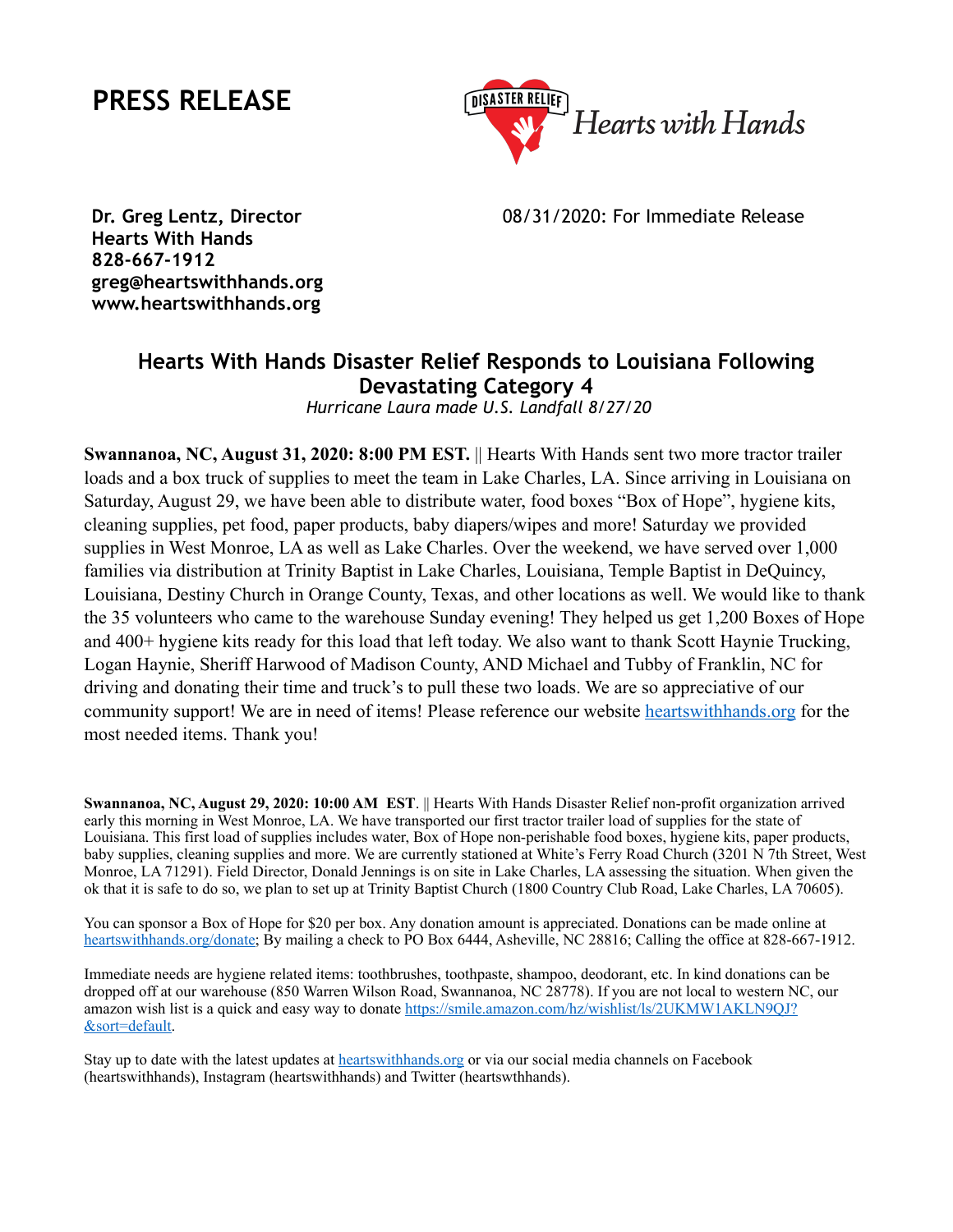## **PRESS RELEASE**



08/31/2020: For Immediate Release

**Dr. Greg Lentz, Director Hearts With Hands 828-667-1912 greg@heartswithhands.org www.heartswithhands.org**

## **Hearts With Hands Disaster Relief Responds to Louisiana Following Devastating Category 4**

 *Hurricane Laura made U.S. Landfall 8/27/20*

**Swannanoa, NC, August 31, 2020: 8:00 PM EST.** || Hearts With Hands sent two more tractor trailer loads and a box truck of supplies to meet the team in Lake Charles, LA. Since arriving in Louisiana on Saturday, August 29, we have been able to distribute water, food boxes "Box of Hope", hygiene kits, cleaning supplies, pet food, paper products, baby diapers/wipes and more! Saturday we provided supplies in West Monroe, LA as well as Lake Charles. Over the weekend, we have served over 1,000 families via distribution at Trinity Baptist in Lake Charles, Louisiana, Temple Baptist in DeQuincy, Louisiana, Destiny Church in Orange County, Texas, and other locations as well. We would like to thank the 35 volunteers who came to the warehouse Sunday evening! They helped us get 1,200 Boxes of Hope and 400+ hygiene kits ready for this load that left today. We also want to thank Scott Haynie Trucking, Logan Haynie, Sheriff Harwood of Madison County, AND Michael and Tubby of Franklin, NC for driving and donating their time and truck's to pull these two loads. We are so appreciative of our community support! We are in need of items! Please reference our website [heartswithhands.org](http://heartswithhands.org) for the most needed items. Thank you!

**Swannanoa, NC, August 29, 2020: 10:00 AM EST**. || Hearts With Hands Disaster Relief non-profit organization arrived early this morning in West Monroe, LA. We have transported our first tractor trailer load of supplies for the state of Louisiana. This first load of supplies includes water, Box of Hope non-perishable food boxes, hygiene kits, paper products, baby supplies, cleaning supplies and more. We are currently stationed at White's Ferry Road Church (3201 N 7th Street, West Monroe, LA 71291). Field Director, Donald Jennings is on site in Lake Charles, LA assessing the situation. When given the ok that it is safe to do so, we plan to set up at Trinity Baptist Church (1800 Country Club Road, Lake Charles, LA 70605).

You can sponsor a Box of Hope for \$20 per box. Any donation amount is appreciated. Donations can be made online at [heartswithhands.org/donate](http://heartswithhands.org/donate); By mailing a check to PO Box 6444, Asheville, NC 28816; Calling the office at 828-667-1912.

Immediate needs are hygiene related items: toothbrushes, toothpaste, shampoo, deodorant, etc. In kind donations can be dropped off at our warehouse (850 Warren Wilson Road, Swannanoa, NC 28778). If you are not local to western NC, our amazon wish list is a quick and easy way to donate [https://smile.amazon.com/hz/wishlist/ls/2UKMW1AKLN9QJ?](https://smile.amazon.com/hz/wishlist/ls/2UKMW1AKLN9QJ?&sort=default) [&sort=default](https://smile.amazon.com/hz/wishlist/ls/2UKMW1AKLN9QJ?&sort=default).

Stay up to date with the latest updates at [heartswithhands.org](http://heartswithhands.org) or via our social media channels on Facebook (heartswithhands), Instagram (heartswithhands) and Twitter (heartswthhands).